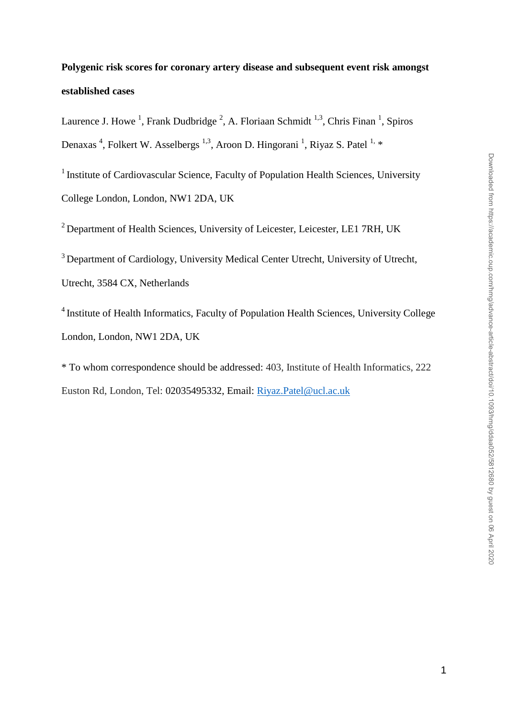# **Polygenic risk scores for coronary artery disease and subsequent event risk amongst established cases**

Laurence J. Howe<sup>1</sup>, Frank Dudbridge<sup>2</sup>, A. Floriaan Schmidt<sup>1,3</sup>, Chris Finan<sup>1</sup>, Spiros Denaxas<sup>4</sup>, Folkert W. Asselbergs<sup>1,3</sup>, Aroon D. Hingorani<sup>1</sup>, Riyaz S. Patel<sup>1,</sup> \*

<sup>1</sup> Institute of Cardiovascular Science, Faculty of Population Health Sciences, University College London, London, NW1 2DA, UK

 $2$  Department of Health Sciences, University of Leicester, Leicester, LE1 7RH, UK

<sup>3</sup> Department of Cardiology, University Medical Center Utrecht, University of Utrecht,

Utrecht, 3584 CX, Netherlands

<sup>4</sup> Institute of Health Informatics, Faculty of Population Health Sciences, University College London, London, NW1 2DA, UK

\* To whom correspondence should be addressed: 403, Institute of Health Informatics, 222 Euston Rd, London, Tel: 02035495332, Email: [Riyaz.Patel@ucl.ac.uk](mailto:Riyaz.Patel@ucl.ac.uk)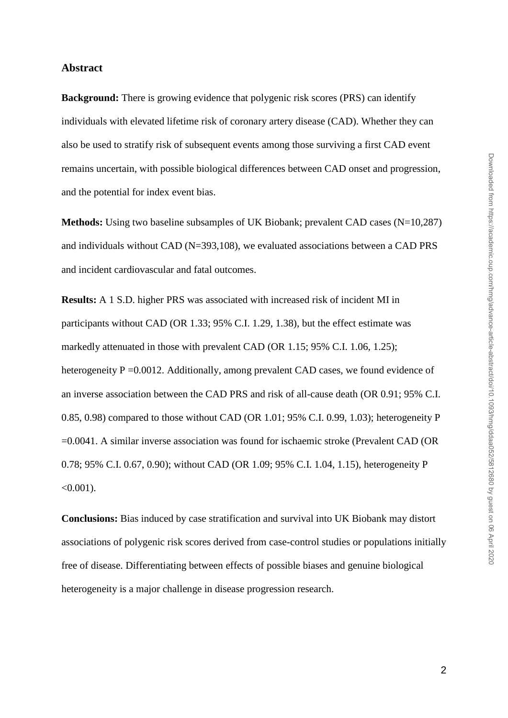## **Abstract**

**Background:** There is growing evidence that polygenic risk scores (PRS) can identify individuals with elevated lifetime risk of coronary artery disease (CAD). Whether they can also be used to stratify risk of subsequent events among those surviving a first CAD event remains uncertain, with possible biological differences between CAD onset and progression, and the potential for index event bias.

**Methods:** Using two baseline subsamples of UK Biobank; prevalent CAD cases (N=10,287) and individuals without CAD (N=393,108), we evaluated associations between a CAD PRS and incident cardiovascular and fatal outcomes.

**Results:** A 1 S.D. higher PRS was associated with increased risk of incident MI in participants without CAD (OR 1.33; 95% C.I. 1.29, 1.38), but the effect estimate was markedly attenuated in those with prevalent CAD (OR 1.15; 95% C.I. 1.06, 1.25); heterogeneity P = 0.0012. Additionally, among prevalent CAD cases, we found evidence of an inverse association between the CAD PRS and risk of all-cause death (OR 0.91; 95% C.I. 0.85, 0.98) compared to those without CAD (OR 1.01; 95% C.I. 0.99, 1.03); heterogeneity P =0.0041. A similar inverse association was found for ischaemic stroke (Prevalent CAD (OR 0.78; 95% C.I. 0.67, 0.90); without CAD (OR 1.09; 95% C.I. 1.04, 1.15), heterogeneity P  $< 0.001$ ).

**Conclusions:** Bias induced by case stratification and survival into UK Biobank may distort associations of polygenic risk scores derived from case-control studies or populations initially free of disease. Differentiating between effects of possible biases and genuine biological heterogeneity is a major challenge in disease progression research.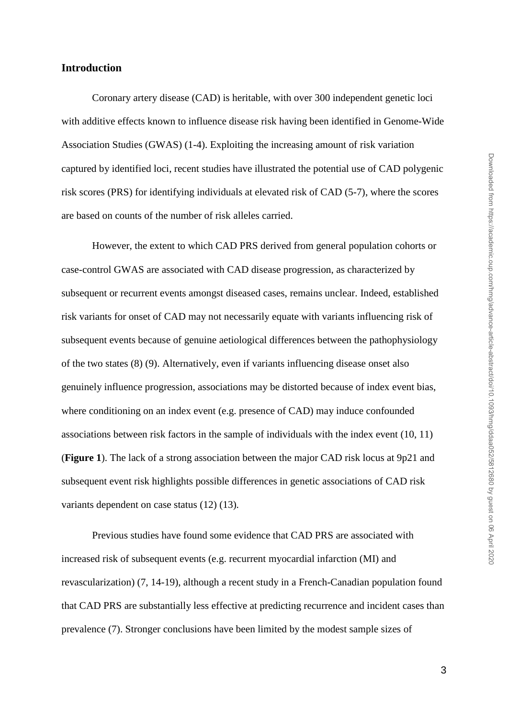## **Introduction**

Coronary artery disease (CAD) is heritable, with over 300 independent genetic loci with additive effects known to influence disease risk having been identified in Genome-Wide Association Studies (GWAS) (1-4). Exploiting the increasing amount of risk variation captured by identified loci, recent studies have illustrated the potential use of CAD polygenic risk scores (PRS) for identifying individuals at elevated risk of CAD (5-7), where the scores are based on counts of the number of risk alleles carried.

However, the extent to which CAD PRS derived from general population cohorts or case-control GWAS are associated with CAD disease progression, as characterized by subsequent or recurrent events amongst diseased cases, remains unclear. Indeed, established risk variants for onset of CAD may not necessarily equate with variants influencing risk of subsequent events because of genuine aetiological differences between the pathophysiology of the two states (8) (9). Alternatively, even if variants influencing disease onset also genuinely influence progression, associations may be distorted because of index event bias, where conditioning on an index event (e.g. presence of CAD) may induce confounded associations between risk factors in the sample of individuals with the index event (10, 11) (**Figure 1**). The lack of a strong association between the major CAD risk locus at 9p21 and subsequent event risk highlights possible differences in genetic associations of CAD risk variants dependent on case status (12) (13).

Previous studies have found some evidence that CAD PRS are associated with increased risk of subsequent events (e.g. recurrent myocardial infarction (MI) and revascularization) (7, 14-19), although a recent study in a French-Canadian population found that CAD PRS are substantially less effective at predicting recurrence and incident cases than prevalence (7). Stronger conclusions have been limited by the modest sample sizes of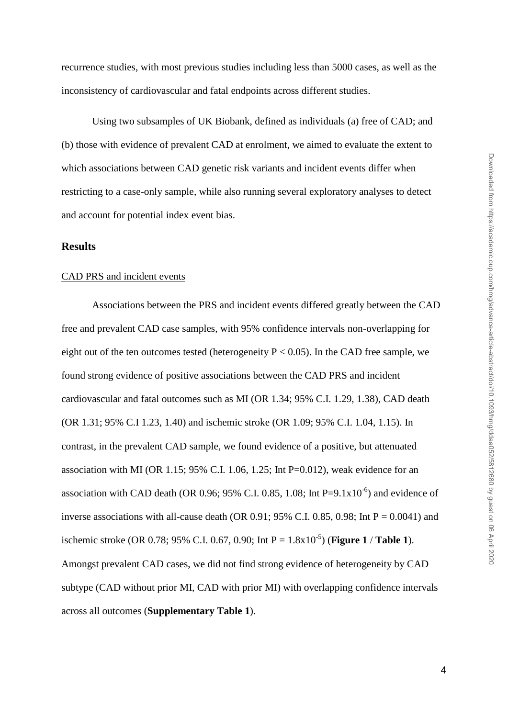Using two subsamples of UK Biobank, defined as individuals (a) free of CAD; and (b) those with evidence of prevalent CAD at enrolment, we aimed to evaluate the extent to which associations between CAD genetic risk variants and incident events differ when restricting to a case-only sample, while also running several exploratory analyses to detect and account for potential index event bias.

#### **Results**

## CAD PRS and incident events

Associations between the PRS and incident events differed greatly between the CAD free and prevalent CAD case samples, with 95% confidence intervals non-overlapping for eight out of the ten outcomes tested (heterogeneity  $P < 0.05$ ). In the CAD free sample, we found strong evidence of positive associations between the CAD PRS and incident cardiovascular and fatal outcomes such as MI (OR 1.34; 95% C.I. 1.29, 1.38), CAD death (OR 1.31; 95% C.I 1.23, 1.40) and ischemic stroke (OR 1.09; 95% C.I. 1.04, 1.15). In contrast, in the prevalent CAD sample, we found evidence of a positive, but attenuated association with MI (OR 1.15; 95% C.I. 1.06, 1.25; Int P=0.012), weak evidence for an association with CAD death (OR 0.96; 95% C.I. 0.85, 1.08; Int P= $9.1 \times 10^{-6}$ ) and evidence of inverse associations with all-cause death (OR 0.91; 95% C.I. 0.85, 0.98; Int  $P = 0.0041$ ) and ischemic stroke (OR 0.78; 95% C.I. 0.67, 0.90; Int  $P = 1.8x10^{-5}$ ) (**Figure 1** / **Table 1**). Amongst prevalent CAD cases, we did not find strong evidence of heterogeneity by CAD subtype (CAD without prior MI, CAD with prior MI) with overlapping confidence intervals across all outcomes (**Supplementary Table 1**).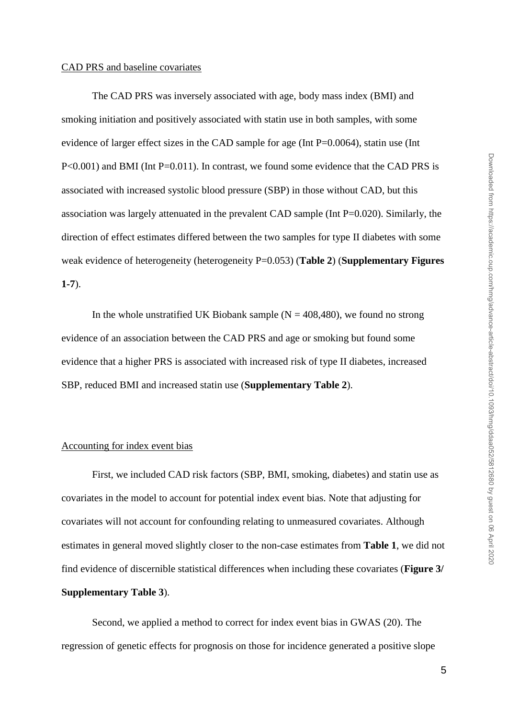The CAD PRS was inversely associated with age, body mass index (BMI) and smoking initiation and positively associated with statin use in both samples, with some evidence of larger effect sizes in the CAD sample for age (Int P=0.0064), statin use (Int P<0.001) and BMI (Int P=0.011). In contrast, we found some evidence that the CAD PRS is associated with increased systolic blood pressure (SBP) in those without CAD, but this association was largely attenuated in the prevalent CAD sample (Int P=0.020). Similarly, the direction of effect estimates differed between the two samples for type II diabetes with some weak evidence of heterogeneity (heterogeneity P=0.053) (**Table 2**) (**Supplementary Figures 1-7**).

In the whole unstratified UK Biobank sample  $(N = 408,480)$ , we found no strong evidence of an association between the CAD PRS and age or smoking but found some evidence that a higher PRS is associated with increased risk of type II diabetes, increased SBP, reduced BMI and increased statin use (**Supplementary Table 2**).

## Accounting for index event bias

First, we included CAD risk factors (SBP, BMI, smoking, diabetes) and statin use as covariates in the model to account for potential index event bias. Note that adjusting for covariates will not account for confounding relating to unmeasured covariates. Although estimates in general moved slightly closer to the non-case estimates from **Table 1**, we did not find evidence of discernible statistical differences when including these covariates (**Figure 3/ Supplementary Table 3**).

Second, we applied a method to correct for index event bias in GWAS (20). The regression of genetic effects for prognosis on those for incidence generated a positive slope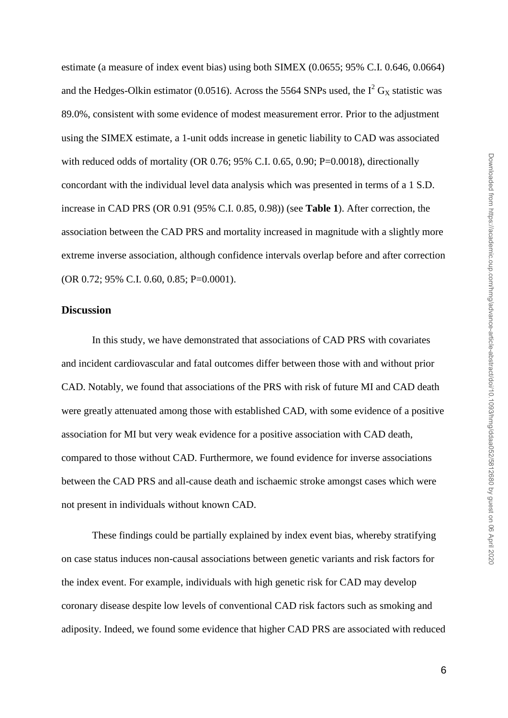estimate (a measure of index event bias) using both SIMEX (0.0655; 95% C.I. 0.646, 0.0664) and the Hedges-Olkin estimator (0.0516). Across the 5564 SNPs used, the  $I^2$  G<sub>x</sub> statistic was 89.0%, consistent with some evidence of modest measurement error. Prior to the adjustment using the SIMEX estimate, a 1-unit odds increase in genetic liability to CAD was associated with reduced odds of mortality (OR 0.76; 95% C.I. 0.65, 0.90; P=0.0018), directionally concordant with the individual level data analysis which was presented in terms of a 1 S.D. increase in CAD PRS (OR 0.91 (95% C.I. 0.85, 0.98)) (see **Table 1**). After correction, the association between the CAD PRS and mortality increased in magnitude with a slightly more extreme inverse association, although confidence intervals overlap before and after correction (OR 0.72; 95% C.I. 0.60, 0.85; P=0.0001).

## **Discussion**

In this study, we have demonstrated that associations of CAD PRS with covariates and incident cardiovascular and fatal outcomes differ between those with and without prior CAD. Notably, we found that associations of the PRS with risk of future MI and CAD death were greatly attenuated among those with established CAD, with some evidence of a positive association for MI but very weak evidence for a positive association with CAD death, compared to those without CAD. Furthermore, we found evidence for inverse associations between the CAD PRS and all-cause death and ischaemic stroke amongst cases which were not present in individuals without known CAD.

These findings could be partially explained by index event bias, whereby stratifying on case status induces non-causal associations between genetic variants and risk factors for the index event. For example, individuals with high genetic risk for CAD may develop coronary disease despite low levels of conventional CAD risk factors such as smoking and adiposity. Indeed, we found some evidence that higher CAD PRS are associated with reduced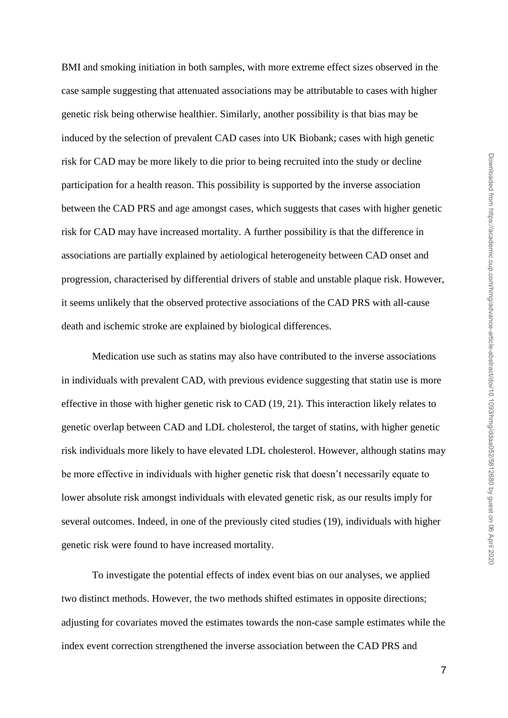BMI and smoking initiation in both samples, with more extreme effect sizes observed in the case sample suggesting that attenuated associations may be attributable to cases with higher genetic risk being otherwise healthier. Similarly, another possibility is that bias may be induced by the selection of prevalent CAD cases into UK Biobank; cases with high genetic risk for CAD may be more likely to die prior to being recruited into the study or decline participation for a health reason. This possibility is supported by the inverse association between the CAD PRS and age amongst cases, which suggests that cases with higher genetic risk for CAD may have increased mortality. A further possibility is that the difference in associations are partially explained by aetiological heterogeneity between CAD onset and progression, characterised by differential drivers of stable and unstable plaque risk. However, it seems unlikely that the observed protective associations of the CAD PRS with all-cause death and ischemic stroke are explained by biological differences.

Medication use such as statins may also have contributed to the inverse associations in individuals with prevalent CAD, with previous evidence suggesting that statin use is more effective in those with higher genetic risk to CAD (19, 21). This interaction likely relates to genetic overlap between CAD and LDL cholesterol, the target of statins, with higher genetic risk individuals more likely to have elevated LDL cholesterol. However, although statins may be more effective in individuals with higher genetic risk that doesn't necessarily equate to lower absolute risk amongst individuals with elevated genetic risk, as our results imply for several outcomes. Indeed, in one of the previously cited studies (19), individuals with higher genetic risk were found to have increased mortality.

To investigate the potential effects of index event bias on our analyses, we applied two distinct methods. However, the two methods shifted estimates in opposite directions; adjusting for covariates moved the estimates towards the non-case sample estimates while the index event correction strengthened the inverse association between the CAD PRS and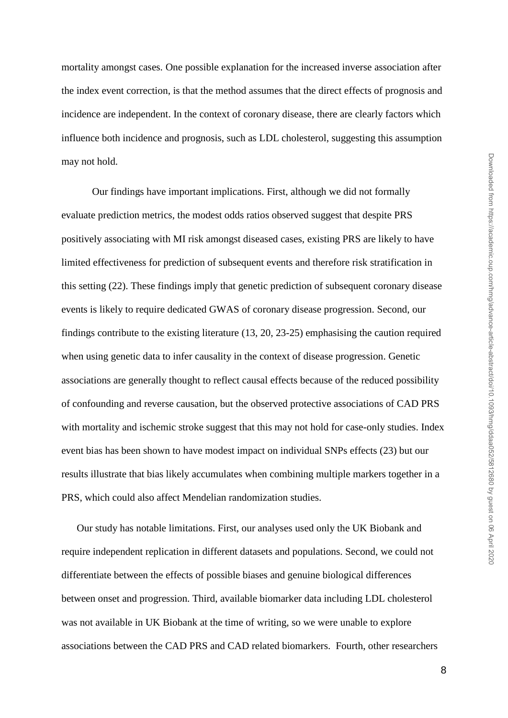mortality amongst cases. One possible explanation for the increased inverse association after the index event correction, is that the method assumes that the direct effects of prognosis and incidence are independent. In the context of coronary disease, there are clearly factors which influence both incidence and prognosis, such as LDL cholesterol, suggesting this assumption may not hold.

Our findings have important implications. First, although we did not formally evaluate prediction metrics, the modest odds ratios observed suggest that despite PRS positively associating with MI risk amongst diseased cases, existing PRS are likely to have limited effectiveness for prediction of subsequent events and therefore risk stratification in this setting (22). These findings imply that genetic prediction of subsequent coronary disease events is likely to require dedicated GWAS of coronary disease progression. Second, our findings contribute to the existing literature (13, 20, 23-25) emphasising the caution required when using genetic data to infer causality in the context of disease progression. Genetic associations are generally thought to reflect causal effects because of the reduced possibility of confounding and reverse causation, but the observed protective associations of CAD PRS with mortality and ischemic stroke suggest that this may not hold for case-only studies. Index event bias has been shown to have modest impact on individual SNPs effects (23) but our results illustrate that bias likely accumulates when combining multiple markers together in a PRS, which could also affect Mendelian randomization studies.

Our study has notable limitations. First, our analyses used only the UK Biobank and require independent replication in different datasets and populations. Second, we could not differentiate between the effects of possible biases and genuine biological differences between onset and progression. Third, available biomarker data including LDL cholesterol was not available in UK Biobank at the time of writing, so we were unable to explore associations between the CAD PRS and CAD related biomarkers. Fourth, other researchers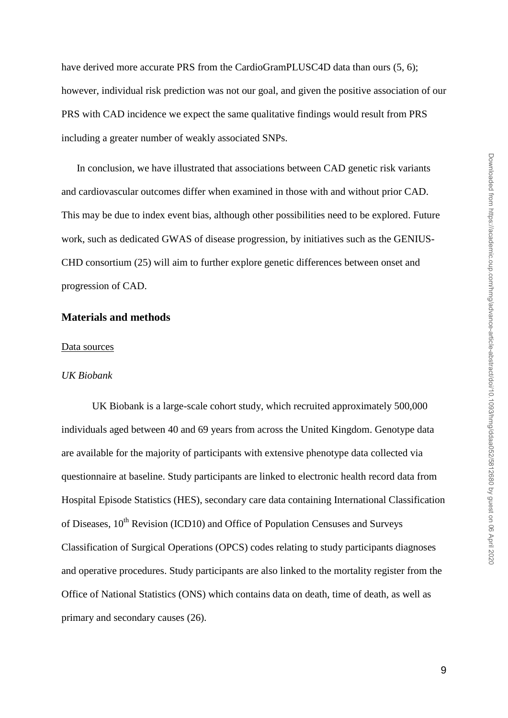have derived more accurate PRS from the CardioGramPLUSC4D data than ours  $(5, 6)$ ; however, individual risk prediction was not our goal, and given the positive association of our PRS with CAD incidence we expect the same qualitative findings would result from PRS including a greater number of weakly associated SNPs.

In conclusion, we have illustrated that associations between CAD genetic risk variants and cardiovascular outcomes differ when examined in those with and without prior CAD. This may be due to index event bias, although other possibilities need to be explored. Future work, such as dedicated GWAS of disease progression, by initiatives such as the GENIUS-CHD consortium (25) will aim to further explore genetic differences between onset and progression of CAD.

## **Materials and methods**

#### Data sources

#### *UK Biobank*

UK Biobank is a large-scale cohort study, which recruited approximately 500,000 individuals aged between 40 and 69 years from across the United Kingdom. Genotype data are available for the majority of participants with extensive phenotype data collected via questionnaire at baseline. Study participants are linked to electronic health record data from Hospital Episode Statistics (HES), secondary care data containing International Classification of Diseases, 10<sup>th</sup> Revision (ICD10) and Office of Population Censuses and Surveys Classification of Surgical Operations (OPCS) codes relating to study participants diagnoses and operative procedures. Study participants are also linked to the mortality register from the Office of National Statistics (ONS) which contains data on death, time of death, as well as primary and secondary causes (26).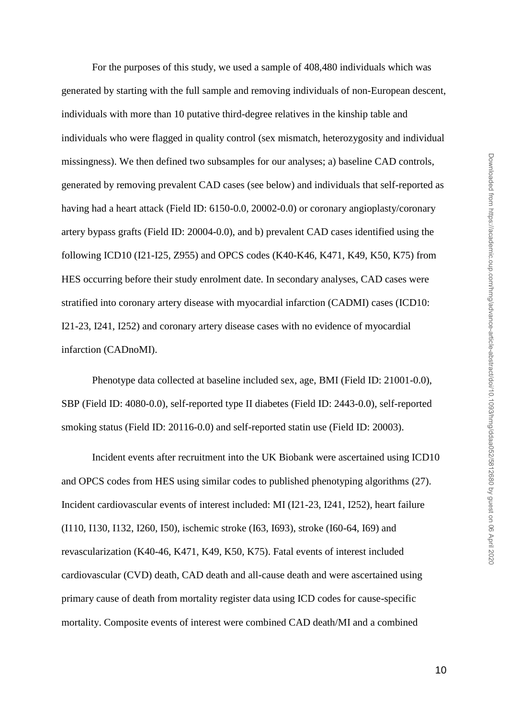For the purposes of this study, we used a sample of 408,480 individuals which was generated by starting with the full sample and removing individuals of non-European descent, individuals with more than 10 putative third-degree relatives in the kinship table and individuals who were flagged in quality control (sex mismatch, heterozygosity and individual missingness). We then defined two subsamples for our analyses; a) baseline CAD controls, generated by removing prevalent CAD cases (see below) and individuals that self-reported as having had a heart attack (Field ID: 6150-0.0, 20002-0.0) or coronary angioplasty/coronary artery bypass grafts (Field ID: 20004-0.0), and b) prevalent CAD cases identified using the following ICD10 (I21-I25, Z955) and OPCS codes (K40-K46, K471, K49, K50, K75) from HES occurring before their study enrolment date. In secondary analyses, CAD cases were stratified into coronary artery disease with myocardial infarction (CADMI) cases (ICD10: I21-23, I241, I252) and coronary artery disease cases with no evidence of myocardial infarction (CADnoMI).

Phenotype data collected at baseline included sex, age, BMI (Field ID: 21001-0.0), SBP (Field ID: 4080-0.0), self-reported type II diabetes (Field ID: 2443-0.0), self-reported smoking status (Field ID: 20116-0.0) and self-reported statin use (Field ID: 20003).

Incident events after recruitment into the UK Biobank were ascertained using ICD10 and OPCS codes from HES using similar codes to published phenotyping algorithms (27). Incident cardiovascular events of interest included: MI (I21-23, I241, I252), heart failure (I110, I130, I132, I260, I50), ischemic stroke (I63, I693), stroke (I60-64, I69) and revascularization (K40-46, K471, K49, K50, K75). Fatal events of interest included cardiovascular (CVD) death, CAD death and all-cause death and were ascertained using primary cause of death from mortality register data using ICD codes for cause-specific mortality. Composite events of interest were combined CAD death/MI and a combined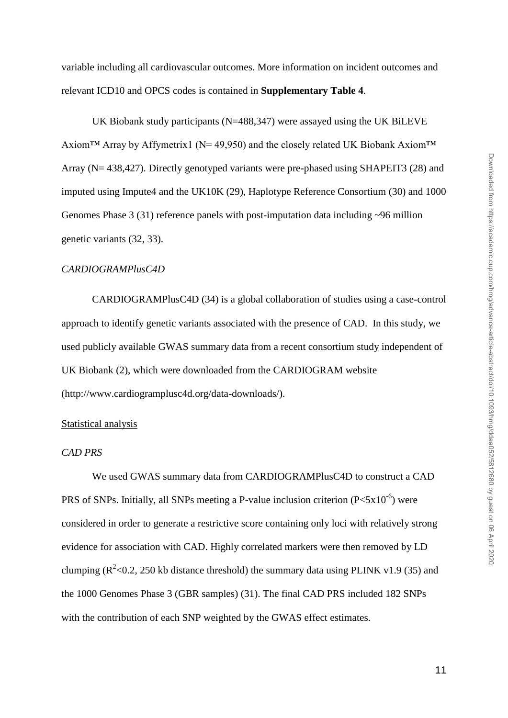variable including all cardiovascular outcomes. More information on incident outcomes and relevant ICD10 and OPCS codes is contained in **Supplementary Table 4**.

UK Biobank study participants (N=488,347) were assayed using the UK BiLEVE Axiom<sup>™</sup> Array by Affymetrix1 ( $N=$  49,950) and the closely related UK Biobank Axiom<sup>™</sup> Array (N= 438,427). Directly genotyped variants were pre-phased using SHAPEIT3 (28) and imputed using Impute4 and the UK10K (29), Haplotype Reference Consortium (30) and 1000 Genomes Phase  $3(31)$  reference panels with post-imputation data including  $\sim 96$  million genetic variants (32, 33).

#### *CARDIOGRAMPlusC4D*

CARDIOGRAMPlusC4D (34) is a global collaboration of studies using a case-control approach to identify genetic variants associated with the presence of CAD. In this study, we used publicly available GWAS summary data from a recent consortium study independent of UK Biobank (2), which were downloaded from the CARDIOGRAM website (http://www.cardiogramplusc4d.org/data-downloads/).

#### Statistical analysis

## *CAD PRS*

We used GWAS summary data from CARDIOGRAMPlusC4D to construct a CAD PRS of SNPs. Initially, all SNPs meeting a P-value inclusion criterion  $(P< 5x10^{-6})$  were considered in order to generate a restrictive score containing only loci with relatively strong evidence for association with CAD. Highly correlated markers were then removed by LD clumping ( $\mathbb{R}^2$  <0.2, 250 kb distance threshold) the summary data using PLINK v1.9 (35) and the 1000 Genomes Phase 3 (GBR samples) (31). The final CAD PRS included 182 SNPs with the contribution of each SNP weighted by the GWAS effect estimates.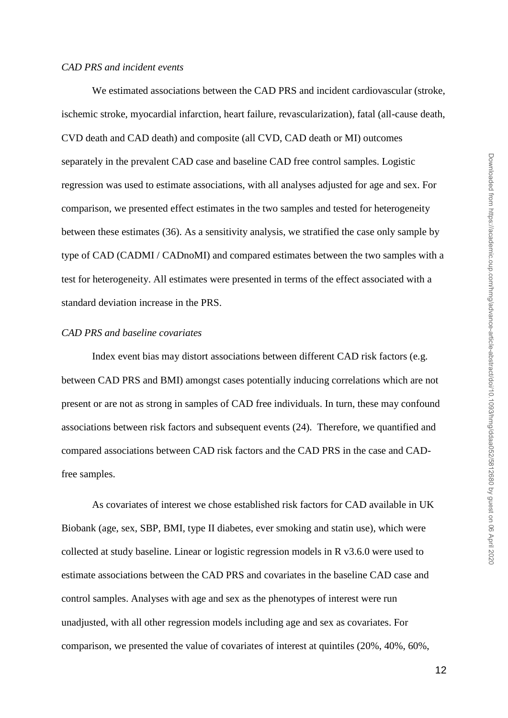#### *CAD PRS and incident events*

We estimated associations between the CAD PRS and incident cardiovascular (stroke, ischemic stroke, myocardial infarction, heart failure, revascularization), fatal (all-cause death, CVD death and CAD death) and composite (all CVD, CAD death or MI) outcomes separately in the prevalent CAD case and baseline CAD free control samples. Logistic regression was used to estimate associations, with all analyses adjusted for age and sex. For comparison, we presented effect estimates in the two samples and tested for heterogeneity between these estimates (36). As a sensitivity analysis, we stratified the case only sample by type of CAD (CADMI / CADnoMI) and compared estimates between the two samples with a test for heterogeneity. All estimates were presented in terms of the effect associated with a standard deviation increase in the PRS.

## *CAD PRS and baseline covariates*

Index event bias may distort associations between different CAD risk factors (e.g. between CAD PRS and BMI) amongst cases potentially inducing correlations which are not present or are not as strong in samples of CAD free individuals. In turn, these may confound associations between risk factors and subsequent events (24). Therefore, we quantified and compared associations between CAD risk factors and the CAD PRS in the case and CADfree samples.

As covariates of interest we chose established risk factors for CAD available in UK Biobank (age, sex, SBP, BMI, type II diabetes, ever smoking and statin use), which were collected at study baseline. Linear or logistic regression models in R v3.6.0 were used to estimate associations between the CAD PRS and covariates in the baseline CAD case and control samples. Analyses with age and sex as the phenotypes of interest were run unadjusted, with all other regression models including age and sex as covariates. For comparison, we presented the value of covariates of interest at quintiles (20%, 40%, 60%,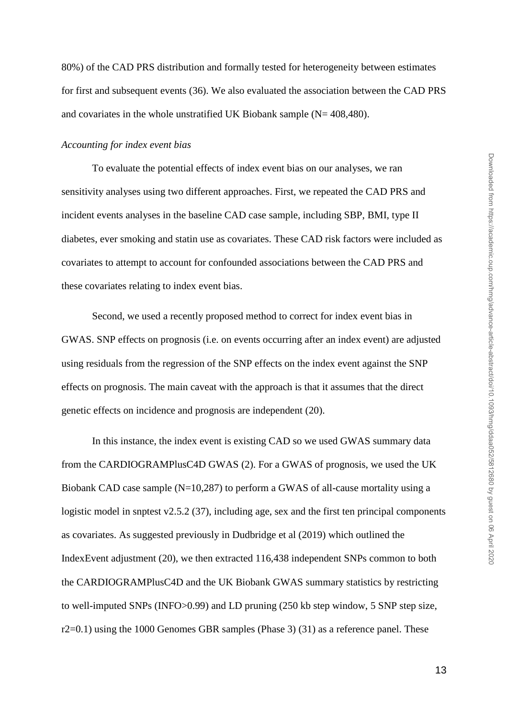80%) of the CAD PRS distribution and formally tested for heterogeneity between estimates for first and subsequent events (36). We also evaluated the association between the CAD PRS and covariates in the whole unstratified UK Biobank sample  $(N= 408,480)$ .

## *Accounting for index event bias*

To evaluate the potential effects of index event bias on our analyses, we ran sensitivity analyses using two different approaches. First, we repeated the CAD PRS and incident events analyses in the baseline CAD case sample, including SBP, BMI, type II diabetes, ever smoking and statin use as covariates. These CAD risk factors were included as covariates to attempt to account for confounded associations between the CAD PRS and these covariates relating to index event bias.

Second, we used a recently proposed method to correct for index event bias in GWAS. SNP effects on prognosis (i.e. on events occurring after an index event) are adjusted using residuals from the regression of the SNP effects on the index event against the SNP effects on prognosis. The main caveat with the approach is that it assumes that the direct genetic effects on incidence and prognosis are independent (20).

In this instance, the index event is existing CAD so we used GWAS summary data from the CARDIOGRAMPlusC4D GWAS (2). For a GWAS of prognosis, we used the UK Biobank CAD case sample (N=10,287) to perform a GWAS of all-cause mortality using a logistic model in snptest v2.5.2 (37), including age, sex and the first ten principal components as covariates. As suggested previously in Dudbridge et al (2019) which outlined the IndexEvent adjustment (20), we then extracted 116,438 independent SNPs common to both the CARDIOGRAMPlusC4D and the UK Biobank GWAS summary statistics by restricting to well-imputed SNPs (INFO>0.99) and LD pruning (250 kb step window, 5 SNP step size, r2=0.1) using the 1000 Genomes GBR samples (Phase 3) (31) as a reference panel. These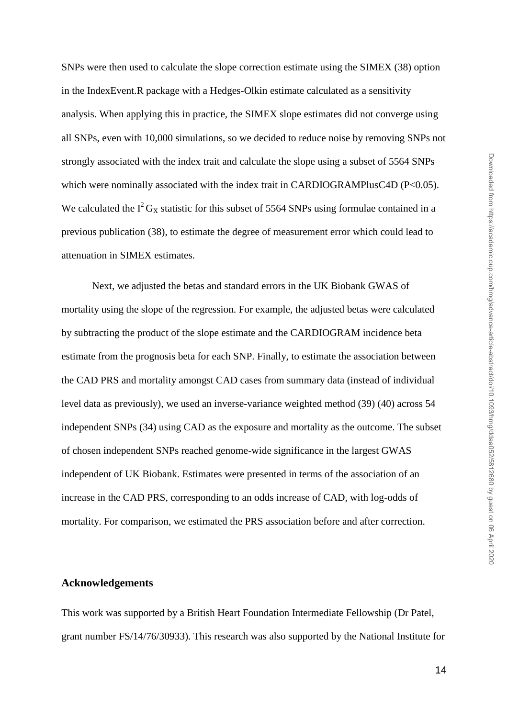SNPs were then used to calculate the slope correction estimate using the SIMEX (38) option in the IndexEvent.R package with a Hedges-Olkin estimate calculated as a sensitivity analysis. When applying this in practice, the SIMEX slope estimates did not converge using all SNPs, even with 10,000 simulations, so we decided to reduce noise by removing SNPs not strongly associated with the index trait and calculate the slope using a subset of 5564 SNPs which were nominally associated with the index trait in CARDIOGRAMPlusC4D (P<0.05). We calculated the  $I^2 G_X$  statistic for this subset of 5564 SNPs using formulae contained in a previous publication (38), to estimate the degree of measurement error which could lead to attenuation in SIMEX estimates.

Next, we adjusted the betas and standard errors in the UK Biobank GWAS of mortality using the slope of the regression. For example, the adjusted betas were calculated by subtracting the product of the slope estimate and the CARDIOGRAM incidence beta estimate from the prognosis beta for each SNP. Finally, to estimate the association between the CAD PRS and mortality amongst CAD cases from summary data (instead of individual level data as previously), we used an inverse-variance weighted method (39) (40) across 54 independent SNPs (34) using CAD as the exposure and mortality as the outcome. The subset of chosen independent SNPs reached genome-wide significance in the largest GWAS independent of UK Biobank. Estimates were presented in terms of the association of an increase in the CAD PRS, corresponding to an odds increase of CAD, with log-odds of mortality. For comparison, we estimated the PRS association before and after correction.

## **Acknowledgements**

This work was supported by a British Heart Foundation Intermediate Fellowship (Dr Patel, grant number FS/14/76/30933). This research was also supported by the National Institute for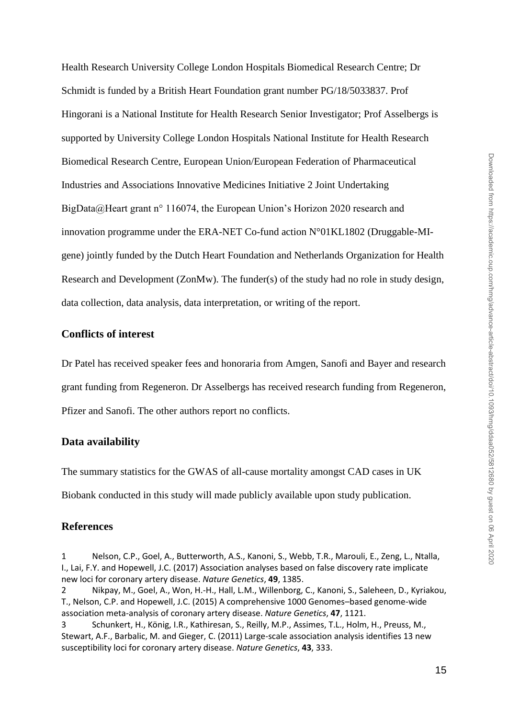Health Research University College London Hospitals Biomedical Research Centre; Dr Schmidt is funded by a British Heart Foundation grant number PG/18/5033837. Prof Hingorani is a National Institute for Health Research Senior Investigator; Prof Asselbergs is supported by University College London Hospitals National Institute for Health Research Biomedical Research Centre, European Union/European Federation of Pharmaceutical Industries and Associations Innovative Medicines Initiative 2 Joint Undertaking BigData@Heart grant n° 116074, the European Union's Horizon 2020 research and innovation programme under the ERA-NET Co-fund action N°01KL1802 (Druggable-MIgene) jointly funded by the Dutch Heart Foundation and Netherlands Organization for Health Research and Development (ZonMw). The funder(s) of the study had no role in study design, data collection, data analysis, data interpretation, or writing of the report.

## **Conflicts of interest**

Dr Patel has received speaker fees and honoraria from Amgen, Sanofi and Bayer and research grant funding from Regeneron. Dr Asselbergs has received research funding from Regeneron, Pfizer and Sanofi. The other authors report no conflicts.

## **Data availability**

The summary statistics for the GWAS of all-cause mortality amongst CAD cases in UK Biobank conducted in this study will made publicly available upon study publication.

## **References**

- 1 Nelson, C.P., Goel, A., Butterworth, A.S., Kanoni, S., Webb, T.R., Marouli, E., Zeng, L., Ntalla, I., Lai, F.Y. and Hopewell, J.C. (2017) Association analyses based on false discovery rate implicate new loci for coronary artery disease. *Nature Genetics*, **49**, 1385.
- 2 Nikpay, M., Goel, A., Won, H.-H., Hall, L.M., Willenborg, C., Kanoni, S., Saleheen, D., Kyriakou, T., Nelson, C.P. and Hopewell, J.C. (2015) A comprehensive 1000 Genomes–based genome-wide association meta-analysis of coronary artery disease. *Nature Genetics*, **47**, 1121.
- 3 Schunkert, H., König, I.R., Kathiresan, S., Reilly, M.P., Assimes, T.L., Holm, H., Preuss, M., Stewart, A.F., Barbalic, M. and Gieger, C. (2011) Large-scale association analysis identifies 13 new susceptibility loci for coronary artery disease. *Nature Genetics*, **43**, 333.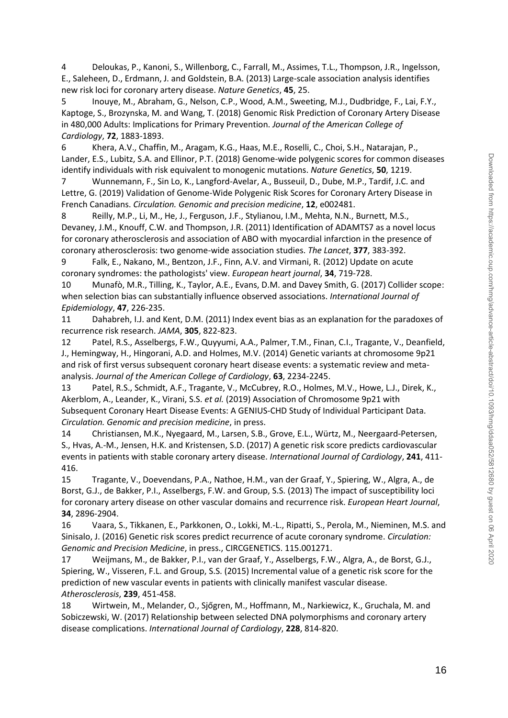4 Deloukas, P., Kanoni, S., Willenborg, C., Farrall, M., Assimes, T.L., Thompson, J.R., Ingelsson, E., Saleheen, D., Erdmann, J. and Goldstein, B.A. (2013) Large-scale association analysis identifies new risk loci for coronary artery disease. *Nature Genetics*, **45**, 25.

5 Inouye, M., Abraham, G., Nelson, C.P., Wood, A.M., Sweeting, M.J., Dudbridge, F., Lai, F.Y., Kaptoge, S., Brozynska, M. and Wang, T. (2018) Genomic Risk Prediction of Coronary Artery Disease in 480,000 Adults: Implications for Primary Prevention. *Journal of the American College of Cardiology*, **72**, 1883-1893.

6 Khera, A.V., Chaffin, M., Aragam, K.G., Haas, M.E., Roselli, C., Choi, S.H., Natarajan, P., Lander, E.S., Lubitz, S.A. and Ellinor, P.T. (2018) Genome-wide polygenic scores for common diseases identify individuals with risk equivalent to monogenic mutations. *Nature Genetics*, **50**, 1219.

7 Wunnemann, F., Sin Lo, K., Langford-Avelar, A., Busseuil, D., Dube, M.P., Tardif, J.C. and Lettre, G. (2019) Validation of Genome-Wide Polygenic Risk Scores for Coronary Artery Disease in French Canadians. *Circulation. Genomic and precision medicine*, **12**, e002481.

8 Reilly, M.P., Li, M., He, J., Ferguson, J.F., Stylianou, I.M., Mehta, N.N., Burnett, M.S., Devaney, J.M., Knouff, C.W. and Thompson, J.R. (2011) Identification of ADAMTS7 as a novel locus for coronary atherosclerosis and association of ABO with myocardial infarction in the presence of coronary atherosclerosis: two genome-wide association studies. *The Lancet*, **377**, 383-392.

9 Falk, E., Nakano, M., Bentzon, J.F., Finn, A.V. and Virmani, R. (2012) Update on acute coronary syndromes: the pathologists' view. *European heart journal*, **34**, 719-728.

10 Munafò, M.R., Tilling, K., Taylor, A.E., Evans, D.M. and Davey Smith, G. (2017) Collider scope: when selection bias can substantially influence observed associations. *International Journal of Epidemiology*, **47**, 226-235.

11 Dahabreh, I.J. and Kent, D.M. (2011) Index event bias as an explanation for the paradoxes of recurrence risk research. *JAMA*, **305**, 822-823.

12 Patel, R.S., Asselbergs, F.W., Quyyumi, A.A., Palmer, T.M., Finan, C.I., Tragante, V., Deanfield, J., Hemingway, H., Hingorani, A.D. and Holmes, M.V. (2014) Genetic variants at chromosome 9p21 and risk of first versus subsequent coronary heart disease events: a systematic review and metaanalysis. *Journal of the American College of Cardiology*, **63**, 2234-2245.

13 Patel, R.S., Schmidt, A.F., Tragante, V., McCubrey, R.O., Holmes, M.V., Howe, L.J., Direk, K., Akerblom, A., Leander, K., Virani, S.S. *et al.* (2019) Association of Chromosome 9p21 with Subsequent Coronary Heart Disease Events: A GENIUS-CHD Study of Individual Participant Data. *Circulation. Genomic and precision medicine*, in press.

14 Christiansen, M.K., Nyegaard, M., Larsen, S.B., Grove, E.L., Würtz, M., Neergaard-Petersen, S., Hvas, A.-M., Jensen, H.K. and Kristensen, S.D. (2017) A genetic risk score predicts cardiovascular events in patients with stable coronary artery disease. *International Journal of Cardiology*, **241**, 411- 416.

15 Tragante, V., Doevendans, P.A., Nathoe, H.M., van der Graaf, Y., Spiering, W., Algra, A., de Borst, G.J., de Bakker, P.I., Asselbergs, F.W. and Group, S.S. (2013) The impact of susceptibility loci for coronary artery disease on other vascular domains and recurrence risk. *European Heart Journal*, **34**, 2896-2904.

16 Vaara, S., Tikkanen, E., Parkkonen, O., Lokki, M.-L., Ripatti, S., Perola, M., Nieminen, M.S. and Sinisalo, J. (2016) Genetic risk scores predict recurrence of acute coronary syndrome. *Circulation: Genomic and Precision Medicine*, in press., CIRCGENETICS. 115.001271.

17 Weijmans, M., de Bakker, P.I., van der Graaf, Y., Asselbergs, F.W., Algra, A., de Borst, G.J., Spiering, W., Visseren, F.L. and Group, S.S. (2015) Incremental value of a genetic risk score for the prediction of new vascular events in patients with clinically manifest vascular disease. *Atherosclerosis*, **239**, 451-458.

18 Wirtwein, M., Melander, O., Sjőgren, M., Hoffmann, M., Narkiewicz, K., Gruchala, M. and Sobiczewski, W. (2017) Relationship between selected DNA polymorphisms and coronary artery disease complications. *International Journal of Cardiology*, **228**, 814-820.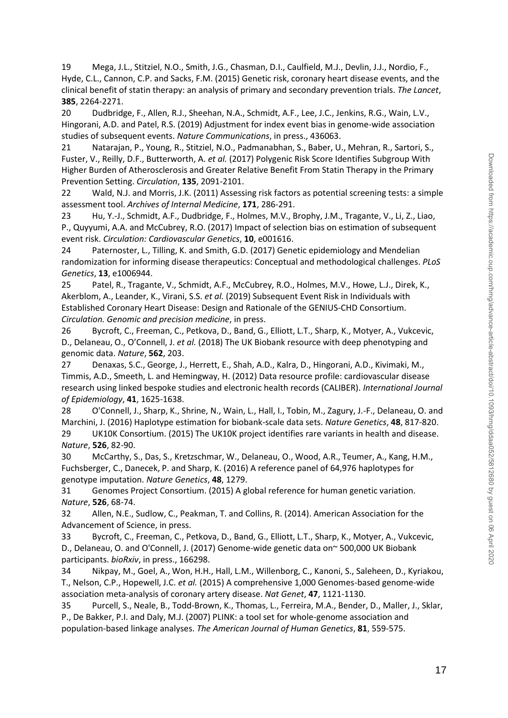19 Mega, J.L., Stitziel, N.O., Smith, J.G., Chasman, D.I., Caulfield, M.J., Devlin, J.J., Nordio, F., Hyde, C.L., Cannon, C.P. and Sacks, F.M. (2015) Genetic risk, coronary heart disease events, and the clinical benefit of statin therapy: an analysis of primary and secondary prevention trials. *The Lancet*, **385**, 2264-2271.

20 Dudbridge, F., Allen, R.J., Sheehan, N.A., Schmidt, A.F., Lee, J.C., Jenkins, R.G., Wain, L.V., Hingorani, A.D. and Patel, R.S. (2019) Adjustment for index event bias in genome-wide association studies of subsequent events. *Nature Communications*, in press., 436063.

21 Natarajan, P., Young, R., Stitziel, N.O., Padmanabhan, S., Baber, U., Mehran, R., Sartori, S., Fuster, V., Reilly, D.F., Butterworth, A. *et al.* (2017) Polygenic Risk Score Identifies Subgroup With Higher Burden of Atherosclerosis and Greater Relative Benefit From Statin Therapy in the Primary Prevention Setting. *Circulation*, **135**, 2091-2101.

22 Wald, N.J. and Morris, J.K. (2011) Assessing risk factors as potential screening tests: a simple assessment tool. *Archives of Internal Medicine*, **171**, 286-291.

23 Hu, Y.-J., Schmidt, A.F., Dudbridge, F., Holmes, M.V., Brophy, J.M., Tragante, V., Li, Z., Liao, P., Quyyumi, A.A. and McCubrey, R.O. (2017) Impact of selection bias on estimation of subsequent event risk. *Circulation: Cardiovascular Genetics*, **10**, e001616.

24 Paternoster, L., Tilling, K. and Smith, G.D. (2017) Genetic epidemiology and Mendelian randomization for informing disease therapeutics: Conceptual and methodological challenges. *PLoS Genetics*, **13**, e1006944.

25 Patel, R., Tragante, V., Schmidt, A.F., McCubrey, R.O., Holmes, M.V., Howe, L.J., Direk, K., Akerblom, A., Leander, K., Virani, S.S. *et al.* (2019) Subsequent Event Risk in Individuals with Established Coronary Heart Disease: Design and Rationale of the GENIUS-CHD Consortium. *Circulation. Genomic and precision medicine*, in press.

26 Bycroft, C., Freeman, C., Petkova, D., Band, G., Elliott, L.T., Sharp, K., Motyer, A., Vukcevic, D., Delaneau, O., O'Connell, J. *et al.* (2018) The UK Biobank resource with deep phenotyping and genomic data. *Nature*, **562**, 203.

27 Denaxas, S.C., George, J., Herrett, E., Shah, A.D., Kalra, D., Hingorani, A.D., Kivimaki, M., Timmis, A.D., Smeeth, L. and Hemingway, H. (2012) Data resource profile: cardiovascular disease research using linked bespoke studies and electronic health records (CALIBER). *International Journal of Epidemiology*, **41**, 1625-1638.

28 O'Connell, J., Sharp, K., Shrine, N., Wain, L., Hall, I., Tobin, M., Zagury, J.-F., Delaneau, O. and Marchini, J. (2016) Haplotype estimation for biobank-scale data sets. *Nature Genetics*, **48**, 817-820. 29 UK10K Consortium. (2015) The UK10K project identifies rare variants in health and disease. *Nature*, **526**, 82-90.

30 McCarthy, S., Das, S., Kretzschmar, W., Delaneau, O., Wood, A.R., Teumer, A., Kang, H.M., Fuchsberger, C., Danecek, P. and Sharp, K. (2016) A reference panel of 64,976 haplotypes for genotype imputation. *Nature Genetics*, **48**, 1279.

31 Genomes Project Consortium. (2015) A global reference for human genetic variation. *Nature*, **526**, 68-74.

32 Allen, N.E., Sudlow, C., Peakman, T. and Collins, R. (2014). American Association for the Advancement of Science, in press.

33 Bycroft, C., Freeman, C., Petkova, D., Band, G., Elliott, L.T., Sharp, K., Motyer, A., Vukcevic, D., Delaneau, O. and O'Connell, J. (2017) Genome-wide genetic data on~ 500,000 UK Biobank participants. *bioRxiv*, in press., 166298.

34 Nikpay, M., Goel, A., Won, H.H., Hall, L.M., Willenborg, C., Kanoni, S., Saleheen, D., Kyriakou, T., Nelson, C.P., Hopewell, J.C. *et al.* (2015) A comprehensive 1,000 Genomes-based genome-wide association meta-analysis of coronary artery disease. *Nat Genet*, **47**, 1121-1130.

35 Purcell, S., Neale, B., Todd-Brown, K., Thomas, L., Ferreira, M.A., Bender, D., Maller, J., Sklar, P., De Bakker, P.I. and Daly, M.J. (2007) PLINK: a tool set for whole-genome association and population-based linkage analyses. *The American Journal of Human Genetics*, **81**, 559-575.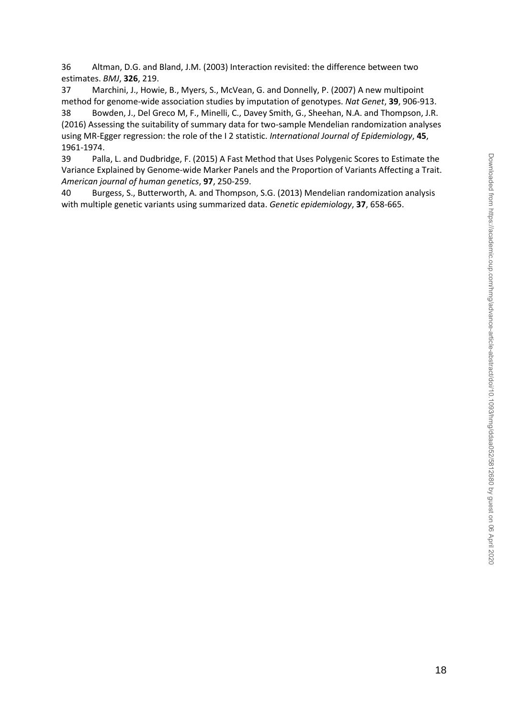36 Altman, D.G. and Bland, J.M. (2003) Interaction revisited: the difference between two estimates. *BMJ*, **326**, 219.

37 Marchini, J., Howie, B., Myers, S., McVean, G. and Donnelly, P. (2007) A new multipoint method for genome-wide association studies by imputation of genotypes. *Nat Genet*, **39**, 906-913. 38 Bowden, J., Del Greco M, F., Minelli, C., Davey Smith, G., Sheehan, N.A. and Thompson, J.R. (2016) Assessing the suitability of summary data for two-sample Mendelian randomization analyses using MR-Egger regression: the role of the I 2 statistic. *International Journal of Epidemiology*, **45**, 1961-1974.

39 Palla, L. and Dudbridge, F. (2015) A Fast Method that Uses Polygenic Scores to Estimate the Variance Explained by Genome-wide Marker Panels and the Proportion of Variants Affecting a Trait. *American journal of human genetics*, **97**, 250-259.

40 Burgess, S., Butterworth, A. and Thompson, S.G. (2013) Mendelian randomization analysis with multiple genetic variants using summarized data. *Genetic epidemiology*, **37**, 658-665.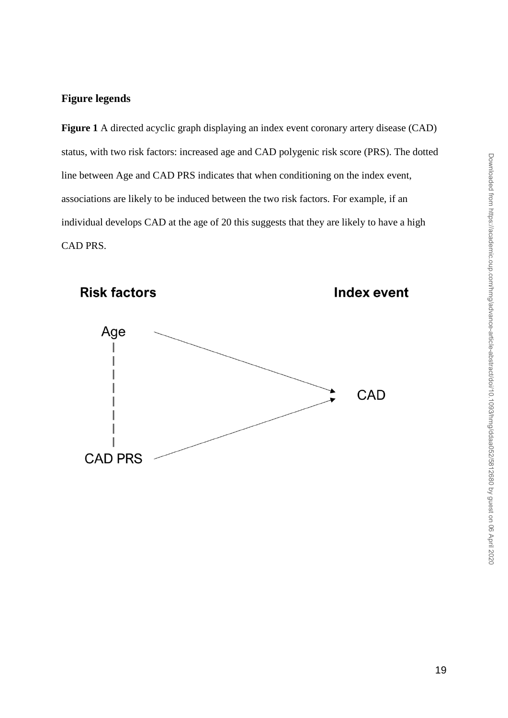## **Figure legends**

**Figure 1** A directed acyclic graph displaying an index event coronary artery disease (CAD) status, with two risk factors: increased age and CAD polygenic risk score (PRS). The dotted line between Age and CAD PRS indicates that when conditioning on the index event, associations are likely to be induced between the two risk factors. For example, if an individual develops CAD at the age of 20 this suggests that they are likely to have a high CAD PRS.

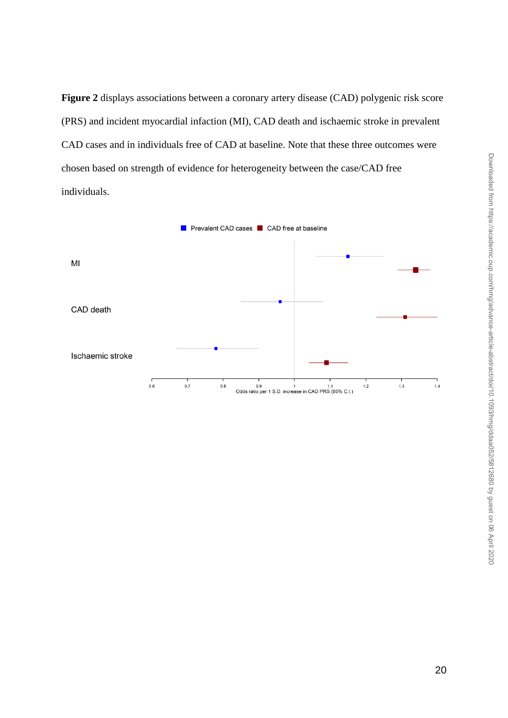**Figure 2** displays associations between a coronary artery disease (CAD) polygenic risk score (PRS) and incident myocardial infaction (MI), CAD death and ischaemic stroke in prevalent CAD cases and in individuals free of CAD at baseline. Note that these three outcomes were chosen based on strength of evidence for heterogeneity between the case/CAD free individuals.

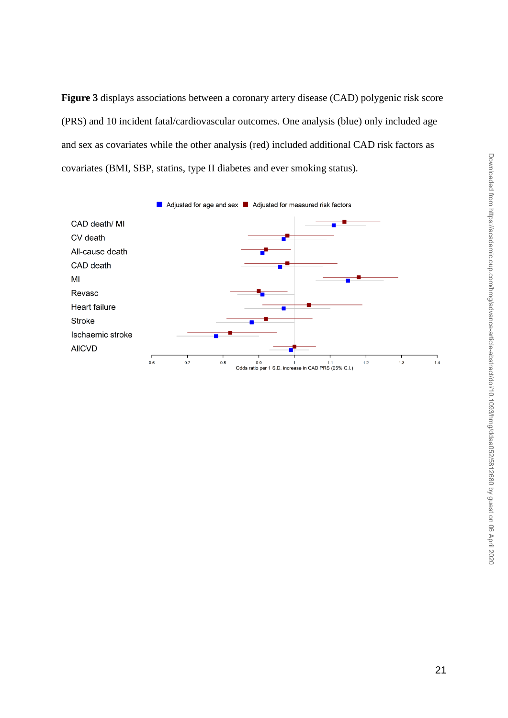**Figure 3** displays associations between a coronary artery disease (CAD) polygenic risk score (PRS) and 10 incident fatal/cardiovascular outcomes. One analysis (blue) only included age and sex as covariates while the other analysis (red) included additional CAD risk factors as covariates (BMI, SBP, statins, type II diabetes and ever smoking status).

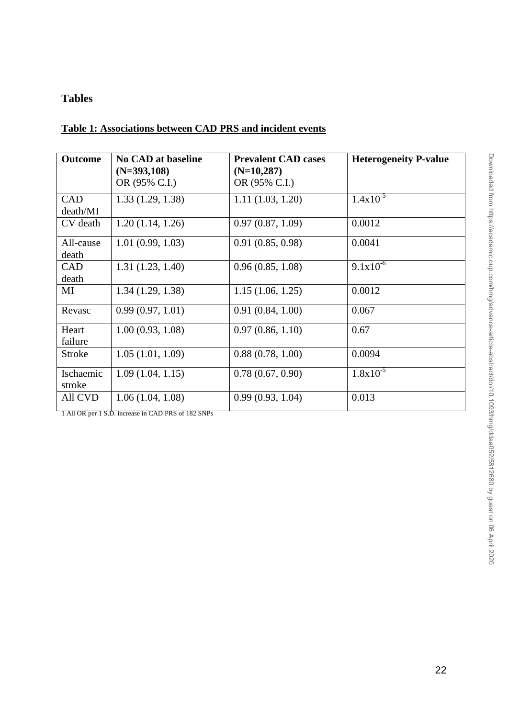## **Tables**

## **Table 1: Associations between CAD PRS and incident events**

| <b>Outcome</b>         | <b>No CAD at baseline</b><br>$(N=393,108)$<br>OR (95% C.I.) | <b>Prevalent CAD cases</b><br>$(N=10,287)$<br>OR (95% C.I.) | <b>Heterogeneity P-value</b> |
|------------------------|-------------------------------------------------------------|-------------------------------------------------------------|------------------------------|
| <b>CAD</b><br>death/MI | 1.33(1.29, 1.38)                                            | 1.11(1.03, 1.20)                                            | $1.4x10^{-5}$                |
| CV death               | 1.20(1.14, 1.26)                                            | 0.97(0.87, 1.09)                                            | 0.0012                       |
| All-cause<br>death     | 1.01(0.99, 1.03)                                            | 0.91(0.85, 0.98)                                            | 0.0041                       |
| <b>CAD</b><br>death    | 1.31(1.23, 1.40)                                            | 0.96(0.85, 1.08)                                            | $9.1x10^{-6}$                |
| MI                     | 1.34(1.29, 1.38)                                            | 1.15(1.06, 1.25)                                            | 0.0012                       |
| Revasc                 | 0.99(0.97, 1.01)                                            | 0.91(0.84, 1.00)                                            | 0.067                        |
| Heart<br>failure       | 1.00(0.93, 1.08)                                            | 0.97(0.86, 1.10)                                            | 0.67                         |
| <b>Stroke</b>          | 1.05(1.01, 1.09)                                            | 0.88(0.78, 1.00)                                            | 0.0094                       |
| Ischaemic<br>stroke    | 1.09(1.04, 1.15)                                            | 0.78(0.67, 0.90)                                            | $1.8x10^{-5}$                |
| All CVD                | 1.06(1.04, 1.08)                                            | 0.99(0.93, 1.04)                                            | 0.013                        |

1 All OR per 1 S.D. increase in CAD PRS of 182 SNPs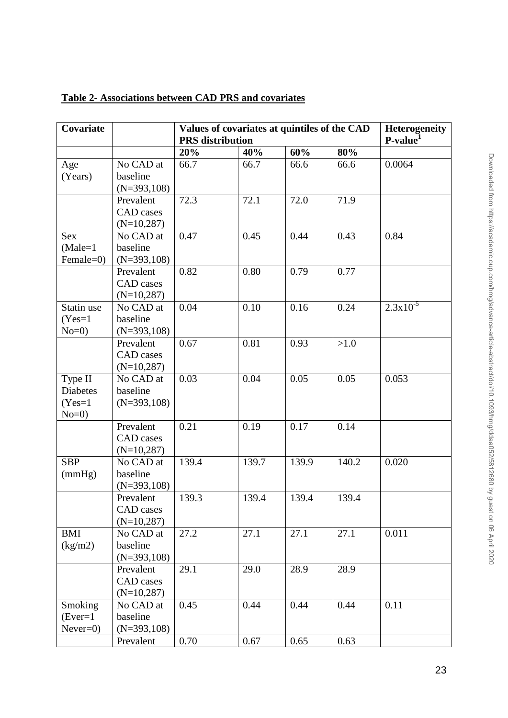|                                                  |                                               |       | <b>PRS</b> distribution |       |        |               |  |
|--------------------------------------------------|-----------------------------------------------|-------|-------------------------|-------|--------|---------------|--|
|                                                  |                                               | 20%   | 40%                     | 60%   | 80%    | $P-value1$    |  |
| Age<br>(Years)                                   | No CAD at<br>baseline<br>$(N=393,108)$        | 66.7  | 66.7                    | 66.6  | 66.6   | 0.0064        |  |
|                                                  | Prevalent<br>CAD cases<br>$(N=10,287)$        | 72.3  | 72.1                    | 72.0  | 71.9   |               |  |
| Sex<br>$(Male=1)$<br>Female=0)                   | No CAD at<br>baseline<br>$(N=393,108)$        | 0.47  | 0.45                    | 0.44  | 0.43   | 0.84          |  |
|                                                  | Prevalent<br>CAD cases<br>$(N=10,287)$        | 0.82  | 0.80                    | 0.79  | 0.77   |               |  |
| Statin use<br>$(Yes=1$<br>$No=0$                 | No CAD at<br>baseline<br>$(N=393,108)$        | 0.04  | 0.10                    | 0.16  | 0.24   | $2.3x10^{-5}$ |  |
|                                                  | Prevalent<br><b>CAD</b> cases<br>$(N=10,287)$ | 0.67  | 0.81                    | 0.93  | $>1.0$ |               |  |
| Type II<br><b>Diabetes</b><br>$(Yes=1$<br>$No=0$ | No CAD at<br>baseline<br>$(N=393,108)$        | 0.03  | 0.04                    | 0.05  | 0.05   | 0.053         |  |
|                                                  | Prevalent<br>CAD cases<br>$(N=10,287)$        | 0.21  | 0.19                    | 0.17  | 0.14   |               |  |
| <b>SBP</b><br>(mmHg)                             | No CAD at<br>baseline<br>$(N=393,108)$        | 139.4 | 139.7                   | 139.9 | 140.2  | 0.020         |  |
|                                                  | Prevalent<br>CAD cases<br>$(N=10, 287)$       | 139.3 | 139.4                   | 139.4 | 139.4  |               |  |
| <b>BMI</b><br>(kg/m2)                            | No CAD at<br>baseline<br>$(N=393,108)$        | 27.2  | 27.1                    | 27.1  | 27.1   | 0.011         |  |
|                                                  | Prevalent<br>CAD cases<br>$(N=10,287)$        | 29.1  | 29.0                    | 28.9  | 28.9   |               |  |

Prevalent 0.70 0.67 0.65 0.63

0.45 0.44 0.44 0.44 0.11

## **Table 2- Associations between CAD PRS and covariates**

Smoking  $(Ever=1)$ Never=0) No CAD at baseline (N=393,108)

**Covariate Values of covariates at quintiles of the CAD** 

**Heterogeneity**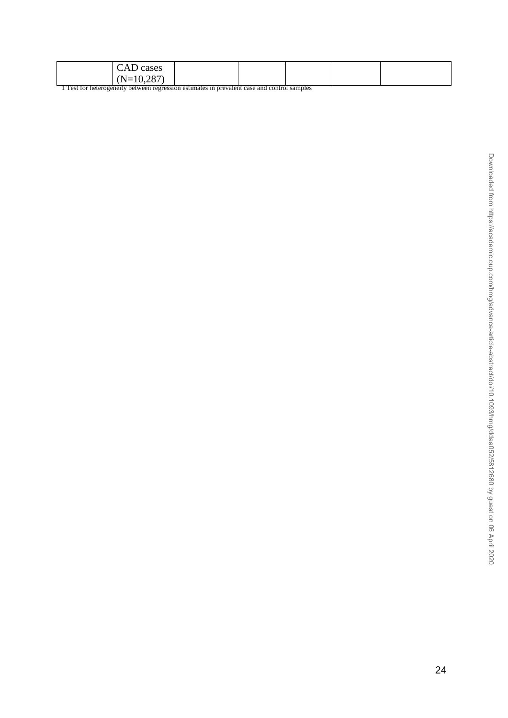| CAD cases                                                                                 |  |  |  |  |  |  |  |
|-------------------------------------------------------------------------------------------|--|--|--|--|--|--|--|
| $(N=10,287)$                                                                              |  |  |  |  |  |  |  |
| Test for heterogeneity between regression estimates in prevalent case and control samples |  |  |  |  |  |  |  |